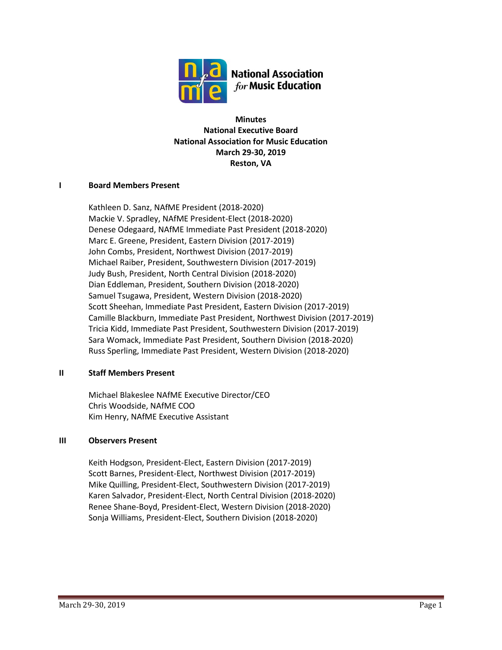

**Minutes National Executive Board National Association for Music Education March 29-30, 2019 Reston, VA**

## **I Board Members Present**

Kathleen D. Sanz, NAfME President (2018-2020) Mackie V. Spradley, NAfME President-Elect (2018-2020) Denese Odegaard, NAfME Immediate Past President (2018-2020) Marc E. Greene, President, Eastern Division (2017-2019) John Combs, President, Northwest Division (2017-2019) Michael Raiber, President, Southwestern Division (2017-2019) Judy Bush, President, North Central Division (2018-2020) Dian Eddleman, President, Southern Division (2018-2020) Samuel Tsugawa, President, Western Division (2018-2020) Scott Sheehan, Immediate Past President, Eastern Division (2017-2019) Camille Blackburn, Immediate Past President, Northwest Division (2017-2019) Tricia Kidd, Immediate Past President, Southwestern Division (2017-2019) Sara Womack, Immediate Past President, Southern Division (2018-2020) Russ Sperling, Immediate Past President, Western Division (2018-2020)

### **II Staff Members Present**

Michael Blakeslee NAfME Executive Director/CEO Chris Woodside, NAfME COO Kim Henry, NAfME Executive Assistant

### **III Observers Present**

Keith Hodgson, President-Elect, Eastern Division (2017-2019) Scott Barnes, President-Elect, Northwest Division (2017-2019) Mike Quilling, President-Elect, Southwestern Division (2017-2019) Karen Salvador, President-Elect, North Central Division (2018-2020) Renee Shane-Boyd, President-Elect, Western Division (2018-2020) Sonja Williams, President-Elect, Southern Division (2018-2020)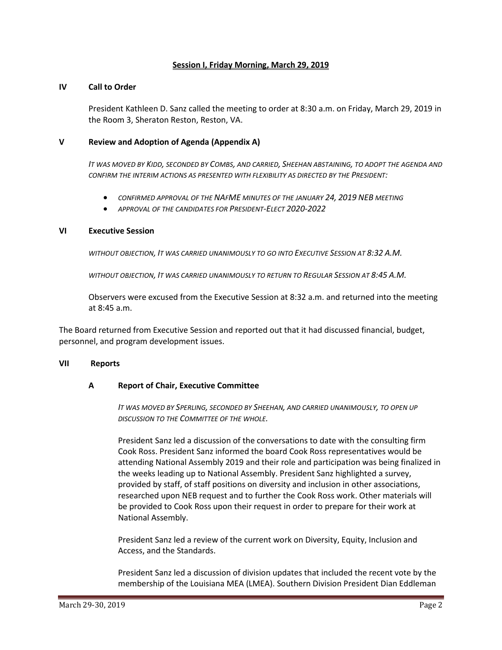### **Session I, Friday Morning, March 29, 2019**

#### **IV Call to Order**

President Kathleen D. Sanz called the meeting to order at 8:30 a.m. on Friday, March 29, 2019 in the Room 3, Sheraton Reston, Reston, VA.

#### **V Review and Adoption of Agenda (Appendix A)**

*IT WAS MOVED BY KIDD, SECONDED BY COMBS, AND CARRIED, SHEEHAN ABSTAINING, TO ADOPT THE AGENDA AND CONFIRM THE INTERIM ACTIONS AS PRESENTED WITH FLEXIBILITY AS DIRECTED BY THE PRESIDENT:*

- *CONFIRMED APPROVAL OF THE NAFME MINUTES OF THE JANUARY 24, 2019 NEB MEETING*
- *APPROVAL OF THE CANDIDATES FOR PRESIDENT-ELECT 2020-2022*

#### **VI Executive Session**

*WITHOUT OBJECTION, IT WAS CARRIED UNANIMOUSLY TO GO INTO EXECUTIVE SESSION AT 8:32 A.M.*

*WITHOUT OBJECTION, IT WAS CARRIED UNANIMOUSLY TO RETURN TO REGULAR SESSION AT 8:45 A.M.*

Observers were excused from the Executive Session at 8:32 a.m. and returned into the meeting at 8:45 a.m.

The Board returned from Executive Session and reported out that it had discussed financial, budget, personnel, and program development issues.

#### **VII Reports**

#### **A Report of Chair, Executive Committee**

*IT WAS MOVED BY SPERLING, SECONDED BY SHEEHAN, AND CARRIED UNANIMOUSLY, TO OPEN UP DISCUSSION TO THE COMMITTEE OF THE WHOLE.*

President Sanz led a discussion of the conversations to date with the consulting firm Cook Ross. President Sanz informed the board Cook Ross representatives would be attending National Assembly 2019 and their role and participation was being finalized in the weeks leading up to National Assembly. President Sanz highlighted a survey, provided by staff, of staff positions on diversity and inclusion in other associations, researched upon NEB request and to further the Cook Ross work. Other materials will be provided to Cook Ross upon their request in order to prepare for their work at National Assembly.

President Sanz led a review of the current work on Diversity, Equity, Inclusion and Access, and the Standards.

President Sanz led a discussion of division updates that included the recent vote by the membership of the Louisiana MEA (LMEA). Southern Division President Dian Eddleman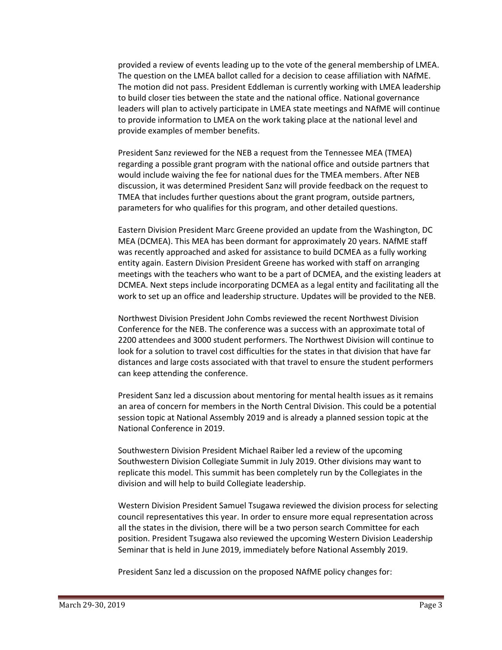provided a review of events leading up to the vote of the general membership of LMEA. The question on the LMEA ballot called for a decision to cease affiliation with NAfME. The motion did not pass. President Eddleman is currently working with LMEA leadership to build closer ties between the state and the national office. National governance leaders will plan to actively participate in LMEA state meetings and NAfME will continue to provide information to LMEA on the work taking place at the national level and provide examples of member benefits.

President Sanz reviewed for the NEB a request from the Tennessee MEA (TMEA) regarding a possible grant program with the national office and outside partners that would include waiving the fee for national dues for the TMEA members. After NEB discussion, it was determined President Sanz will provide feedback on the request to TMEA that includes further questions about the grant program, outside partners, parameters for who qualifies for this program, and other detailed questions.

Eastern Division President Marc Greene provided an update from the Washington, DC MEA (DCMEA). This MEA has been dormant for approximately 20 years. NAfME staff was recently approached and asked for assistance to build DCMEA as a fully working entity again. Eastern Division President Greene has worked with staff on arranging meetings with the teachers who want to be a part of DCMEA, and the existing leaders at DCMEA. Next steps include incorporating DCMEA as a legal entity and facilitating all the work to set up an office and leadership structure. Updates will be provided to the NEB.

Northwest Division President John Combs reviewed the recent Northwest Division Conference for the NEB. The conference was a success with an approximate total of 2200 attendees and 3000 student performers. The Northwest Division will continue to look for a solution to travel cost difficulties for the states in that division that have far distances and large costs associated with that travel to ensure the student performers can keep attending the conference.

President Sanz led a discussion about mentoring for mental health issues as it remains an area of concern for members in the North Central Division. This could be a potential session topic at National Assembly 2019 and is already a planned session topic at the National Conference in 2019.

Southwestern Division President Michael Raiber led a review of the upcoming Southwestern Division Collegiate Summit in July 2019. Other divisions may want to replicate this model. This summit has been completely run by the Collegiates in the division and will help to build Collegiate leadership.

Western Division President Samuel Tsugawa reviewed the division process for selecting council representatives this year. In order to ensure more equal representation across all the states in the division, there will be a two person search Committee for each position. President Tsugawa also reviewed the upcoming Western Division Leadership Seminar that is held in June 2019, immediately before National Assembly 2019.

President Sanz led a discussion on the proposed NAfME policy changes for: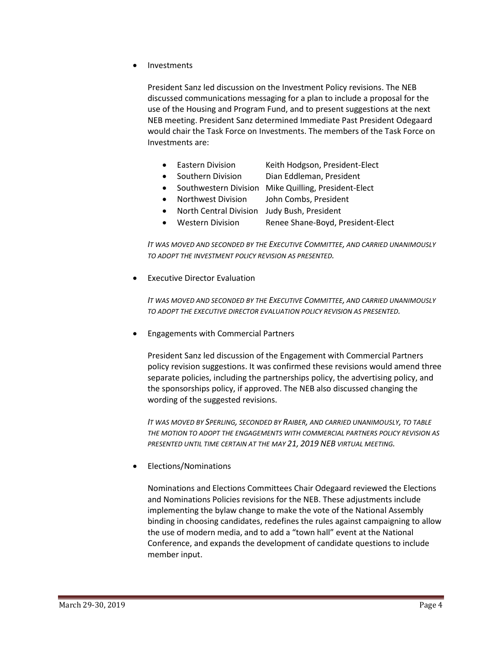• Investments

President Sanz led discussion on the Investment Policy revisions. The NEB discussed communications messaging for a plan to include a proposal for the use of the Housing and Program Fund, and to present suggestions at the next NEB meeting. President Sanz determined Immediate Past President Odegaard would chair the Task Force on Investments. The members of the Task Force on Investments are:

- Eastern Division Keith Hodgson, President-Elect
- Southern Division Dian Eddleman, President
- Southwestern Division Mike Quilling, President-Elect
	- Northwest Division John Combs, President
- North Central Division Judy Bush, President
- Western Division Renee Shane-Boyd, President-Elect

*IT WAS MOVED AND SECONDED BY THE EXECUTIVE COMMITTEE, AND CARRIED UNANIMOUSLY TO ADOPT THE INVESTMENT POLICY REVISION AS PRESENTED.*

**Executive Director Evaluation** 

*IT WAS MOVED AND SECONDED BY THE EXECUTIVE COMMITTEE, AND CARRIED UNANIMOUSLY TO ADOPT THE EXECUTIVE DIRECTOR EVALUATION POLICY REVISION AS PRESENTED.*

• Engagements with Commercial Partners

President Sanz led discussion of the Engagement with Commercial Partners policy revision suggestions. It was confirmed these revisions would amend three separate policies, including the partnerships policy, the advertising policy, and the sponsorships policy, if approved. The NEB also discussed changing the wording of the suggested revisions.

*IT WAS MOVED BY SPERLING, SECONDED BY RAIBER, AND CARRIED UNANIMOUSLY, TO TABLE THE MOTION TO ADOPT THE ENGAGEMENTS WITH COMMERCIAL PARTNERS POLICY REVISION AS PRESENTED UNTIL TIME CERTAIN AT THE MAY 21, 2019 NEB VIRTUAL MEETING.*

• Elections/Nominations

Nominations and Elections Committees Chair Odegaard reviewed the Elections and Nominations Policies revisions for the NEB. These adjustments include implementing the bylaw change to make the vote of the National Assembly binding in choosing candidates, redefines the rules against campaigning to allow the use of modern media, and to add a "town hall" event at the National Conference, and expands the development of candidate questions to include member input.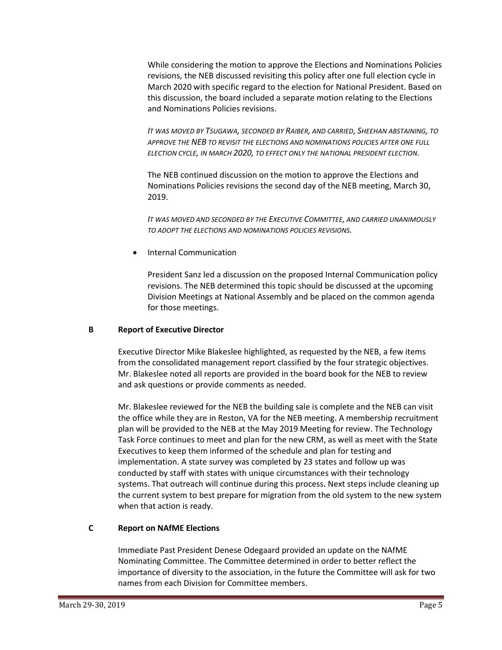While considering the motion to approve the Elections and Nominations Policies revisions, the NEB discussed revisiting this policy after one full election cycle in March 2020 with specific regard to the election for National President. Based on this discussion, the board included a separate motion relating to the Elections and Nominations Policies revisions.

*IT WAS MOVED BY TSUGAWA, SECONDED BY RAIBER, AND CARRIED, SHEEHAN ABSTAINING, TO APPROVE THE NEB TO REVISIT THE ELECTIONS AND NOMINATIONS POLICIES AFTER ONE FULL ELECTION CYCLE, IN MARCH 2020, TO EFFECT ONLY THE NATIONAL PRESIDENT ELECTION.*

The NEB continued discussion on the motion to approve the Elections and Nominations Policies revisions the second day of the NEB meeting, March 30, 2019.

*IT WAS MOVED AND SECONDED BY THE EXECUTIVE COMMITTEE, AND CARRIED UNANIMOUSLY TO ADOPT THE ELECTIONS AND NOMINATIONS POLICIES REVISIONS.*

• Internal Communication

President Sanz led a discussion on the proposed Internal Communication policy revisions. The NEB determined this topic should be discussed at the upcoming Division Meetings at National Assembly and be placed on the common agenda for those meetings.

# **B Report of Executive Director**

Executive Director Mike Blakeslee highlighted, as requested by the NEB, a few items from the consolidated management report classified by the four strategic objectives. Mr. Blakeslee noted all reports are provided in the board book for the NEB to review and ask questions or provide comments as needed.

Mr. Blakeslee reviewed for the NEB the building sale is complete and the NEB can visit the office while they are in Reston, VA for the NEB meeting. A membership recruitment plan will be provided to the NEB at the May 2019 Meeting for review. The Technology Task Force continues to meet and plan for the new CRM, as well as meet with the State Executives to keep them informed of the schedule and plan for testing and implementation. A state survey was completed by 23 states and follow up was conducted by staff with states with unique circumstances with their technology systems. That outreach will continue during this process. Next steps include cleaning up the current system to best prepare for migration from the old system to the new system when that action is ready.

# **C Report on NAfME Elections**

Immediate Past President Denese Odegaard provided an update on the NAfME Nominating Committee. The Committee determined in order to better reflect the importance of diversity to the association, in the future the Committee will ask for two names from each Division for Committee members.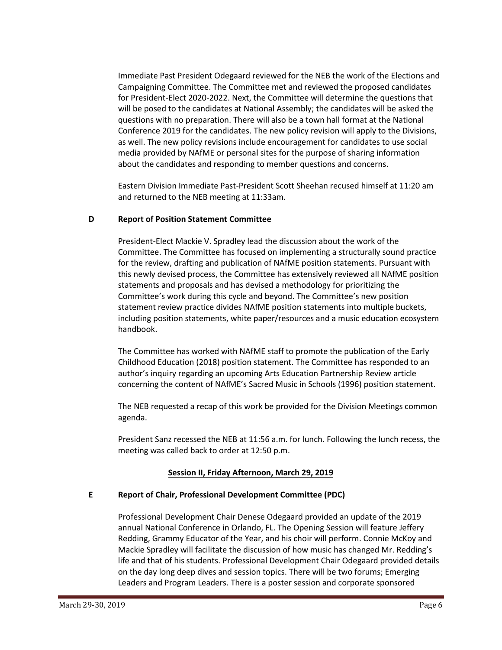Immediate Past President Odegaard reviewed for the NEB the work of the Elections and Campaigning Committee. The Committee met and reviewed the proposed candidates for President-Elect 2020-2022. Next, the Committee will determine the questions that will be posed to the candidates at National Assembly; the candidates will be asked the questions with no preparation. There will also be a town hall format at the National Conference 2019 for the candidates. The new policy revision will apply to the Divisions, as well. The new policy revisions include encouragement for candidates to use social media provided by NAfME or personal sites for the purpose of sharing information about the candidates and responding to member questions and concerns.

Eastern Division Immediate Past-President Scott Sheehan recused himself at 11:20 am and returned to the NEB meeting at 11:33am.

### **D Report of Position Statement Committee**

President-Elect Mackie V. Spradley lead the discussion about the work of the Committee. The Committee has focused on implementing a structurally sound practice for the review, drafting and publication of NAfME position statements. Pursuant with this newly devised process, the Committee has extensively reviewed all NAfME position statements and proposals and has devised a methodology for prioritizing the Committee's work during this cycle and beyond. The Committee's new position statement review practice divides NAfME position statements into multiple buckets, including position statements, white paper/resources and a music education ecosystem handbook.

The Committee has worked with NAfME staff to promote the publication of the Early Childhood Education (2018) position statement. The Committee has responded to an author's inquiry regarding an upcoming Arts Education Partnership Review article concerning the content of NAfME's Sacred Music in Schools (1996) position statement.

The NEB requested a recap of this work be provided for the Division Meetings common agenda.

President Sanz recessed the NEB at 11:56 a.m. for lunch. Following the lunch recess, the meeting was called back to order at 12:50 p.m.

# **Session II, Friday Afternoon, March 29, 2019**

### **E Report of Chair, Professional Development Committee (PDC)**

Professional Development Chair Denese Odegaard provided an update of the 2019 annual National Conference in Orlando, FL. The Opening Session will feature Jeffery Redding, Grammy Educator of the Year, and his choir will perform. Connie McKoy and Mackie Spradley will facilitate the discussion of how music has changed Mr. Redding's life and that of his students. Professional Development Chair Odegaard provided details on the day long deep dives and session topics. There will be two forums; Emerging Leaders and Program Leaders. There is a poster session and corporate sponsored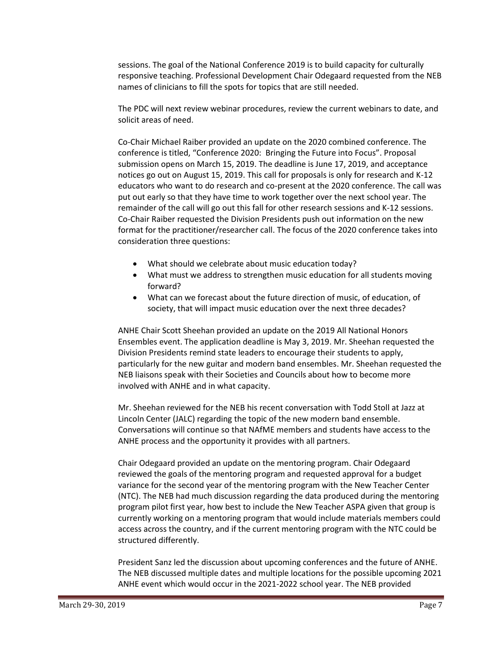sessions. The goal of the National Conference 2019 is to build capacity for culturally responsive teaching. Professional Development Chair Odegaard requested from the NEB names of clinicians to fill the spots for topics that are still needed.

The PDC will next review webinar procedures, review the current webinars to date, and solicit areas of need.

Co-Chair Michael Raiber provided an update on the 2020 combined conference. The conference is titled, "Conference 2020: Bringing the Future into Focus". Proposal submission opens on March 15, 2019. The deadline is June 17, 2019, and acceptance notices go out on August 15, 2019. This call for proposals is only for research and K-12 educators who want to do research and co-present at the 2020 conference. The call was put out early so that they have time to work together over the next school year. The remainder of the call will go out this fall for other research sessions and K-12 sessions. Co-Chair Raiber requested the Division Presidents push out information on the new format for the practitioner/researcher call. The focus of the 2020 conference takes into consideration three questions:

- What should we celebrate about music education today?
- What must we address to strengthen music education for all students moving forward?
- What can we forecast about the future direction of music, of education, of society, that will impact music education over the next three decades?

ANHE Chair Scott Sheehan provided an update on the 2019 All National Honors Ensembles event. The application deadline is May 3, 2019. Mr. Sheehan requested the Division Presidents remind state leaders to encourage their students to apply, particularly for the new guitar and modern band ensembles. Mr. Sheehan requested the NEB liaisons speak with their Societies and Councils about how to become more involved with ANHE and in what capacity.

Mr. Sheehan reviewed for the NEB his recent conversation with Todd Stoll at Jazz at Lincoln Center (JALC) regarding the topic of the new modern band ensemble. Conversations will continue so that NAfME members and students have access to the ANHE process and the opportunity it provides with all partners.

Chair Odegaard provided an update on the mentoring program. Chair Odegaard reviewed the goals of the mentoring program and requested approval for a budget variance for the second year of the mentoring program with the New Teacher Center (NTC). The NEB had much discussion regarding the data produced during the mentoring program pilot first year, how best to include the New Teacher ASPA given that group is currently working on a mentoring program that would include materials members could access across the country, and if the current mentoring program with the NTC could be structured differently.

President Sanz led the discussion about upcoming conferences and the future of ANHE. The NEB discussed multiple dates and multiple locations for the possible upcoming 2021 ANHE event which would occur in the 2021-2022 school year. The NEB provided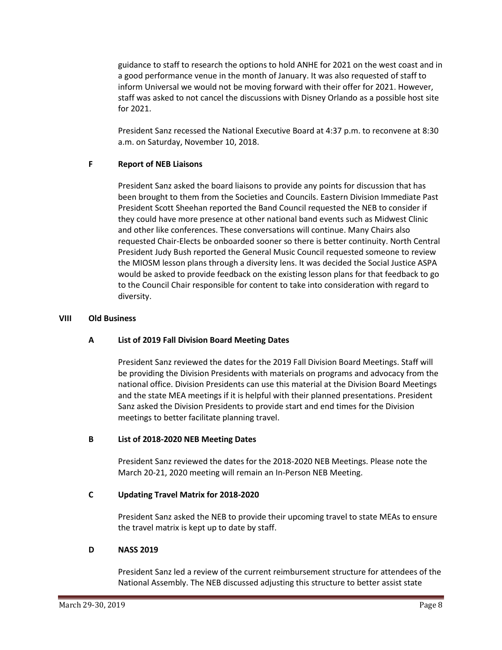guidance to staff to research the options to hold ANHE for 2021 on the west coast and in a good performance venue in the month of January. It was also requested of staff to inform Universal we would not be moving forward with their offer for 2021. However, staff was asked to not cancel the discussions with Disney Orlando as a possible host site for 2021.

President Sanz recessed the National Executive Board at 4:37 p.m. to reconvene at 8:30 a.m. on Saturday, November 10, 2018.

## **F Report of NEB Liaisons**

President Sanz asked the board liaisons to provide any points for discussion that has been brought to them from the Societies and Councils. Eastern Division Immediate Past President Scott Sheehan reported the Band Council requested the NEB to consider if they could have more presence at other national band events such as Midwest Clinic and other like conferences. These conversations will continue. Many Chairs also requested Chair-Elects be onboarded sooner so there is better continuity. North Central President Judy Bush reported the General Music Council requested someone to review the MIOSM lesson plans through a diversity lens. It was decided the Social Justice ASPA would be asked to provide feedback on the existing lesson plans for that feedback to go to the Council Chair responsible for content to take into consideration with regard to diversity.

## **VIII Old Business**

# **A List of 2019 Fall Division Board Meeting Dates**

President Sanz reviewed the dates for the 2019 Fall Division Board Meetings. Staff will be providing the Division Presidents with materials on programs and advocacy from the national office. Division Presidents can use this material at the Division Board Meetings and the state MEA meetings if it is helpful with their planned presentations. President Sanz asked the Division Presidents to provide start and end times for the Division meetings to better facilitate planning travel.

# **B List of 2018-2020 NEB Meeting Dates**

President Sanz reviewed the dates for the 2018-2020 NEB Meetings. Please note the March 20-21, 2020 meeting will remain an In-Person NEB Meeting.

# **C Updating Travel Matrix for 2018-2020**

President Sanz asked the NEB to provide their upcoming travel to state MEAs to ensure the travel matrix is kept up to date by staff.

# **D NASS 2019**

President Sanz led a review of the current reimbursement structure for attendees of the National Assembly. The NEB discussed adjusting this structure to better assist state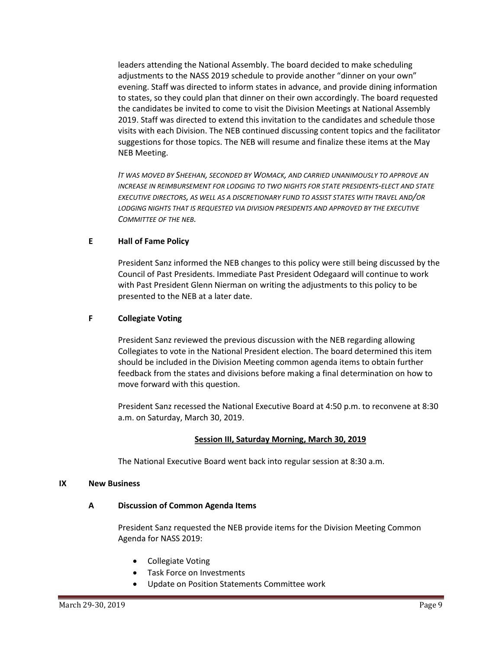leaders attending the National Assembly. The board decided to make scheduling adjustments to the NASS 2019 schedule to provide another "dinner on your own" evening. Staff was directed to inform states in advance, and provide dining information to states, so they could plan that dinner on their own accordingly. The board requested the candidates be invited to come to visit the Division Meetings at National Assembly 2019. Staff was directed to extend this invitation to the candidates and schedule those visits with each Division. The NEB continued discussing content topics and the facilitator suggestions for those topics. The NEB will resume and finalize these items at the May NEB Meeting.

*IT WAS MOVED BY SHEEHAN, SECONDED BY WOMACK, AND CARRIED UNANIMOUSLY TO APPROVE AN INCREASE IN REIMBURSEMENT FOR LODGING TO TWO NIGHTS FOR STATE PRESIDENTS-ELECT AND STATE EXECUTIVE DIRECTORS, AS WELL AS A DISCRETIONARY FUND TO ASSIST STATES WITH TRAVEL AND/OR LODGING NIGHTS THAT IS REQUESTED VIA DIVISION PRESIDENTS AND APPROVED BY THE EXECUTIVE COMMITTEE OF THE NEB.*

# **E Hall of Fame Policy**

President Sanz informed the NEB changes to this policy were still being discussed by the Council of Past Presidents. Immediate Past President Odegaard will continue to work with Past President Glenn Nierman on writing the adjustments to this policy to be presented to the NEB at a later date.

## **F Collegiate Voting**

President Sanz reviewed the previous discussion with the NEB regarding allowing Collegiates to vote in the National President election. The board determined this item should be included in the Division Meeting common agenda items to obtain further feedback from the states and divisions before making a final determination on how to move forward with this question.

President Sanz recessed the National Executive Board at 4:50 p.m. to reconvene at 8:30 a.m. on Saturday, March 30, 2019.

### **Session III, Saturday Morning, March 30, 2019**

The National Executive Board went back into regular session at 8:30 a.m.

### **IX New Business**

### **A Discussion of Common Agenda Items**

President Sanz requested the NEB provide items for the Division Meeting Common Agenda for NASS 2019:

- Collegiate Voting
- Task Force on Investments
- Update on Position Statements Committee work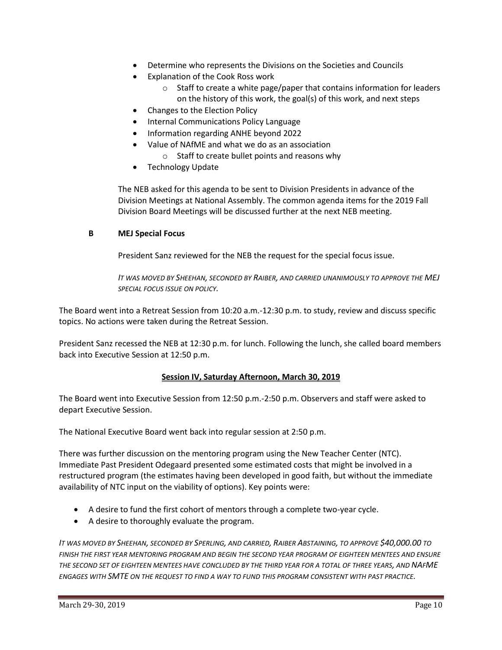- Determine who represents the Divisions on the Societies and Councils
- Explanation of the Cook Ross work
	- o Staff to create a white page/paper that contains information for leaders on the history of this work, the goal(s) of this work, and next steps
- Changes to the Election Policy
- Internal Communications Policy Language
- Information regarding ANHE beyond 2022
- Value of NAfME and what we do as an association
	- o Staff to create bullet points and reasons why
- Technology Update

The NEB asked for this agenda to be sent to Division Presidents in advance of the Division Meetings at National Assembly. The common agenda items for the 2019 Fall Division Board Meetings will be discussed further at the next NEB meeting.

## **B MEJ Special Focus**

President Sanz reviewed for the NEB the request for the special focus issue.

*IT WAS MOVED BY SHEEHAN, SECONDED BY RAIBER, AND CARRIED UNANIMOUSLY TO APPROVE THE MEJ SPECIAL FOCUS ISSUE ON POLICY.*

The Board went into a Retreat Session from 10:20 a.m.-12:30 p.m. to study, review and discuss specific topics. No actions were taken during the Retreat Session.

President Sanz recessed the NEB at 12:30 p.m. for lunch. Following the lunch, she called board members back into Executive Session at 12:50 p.m.

# **Session IV, Saturday Afternoon, March 30, 2019**

The Board went into Executive Session from 12:50 p.m.-2:50 p.m. Observers and staff were asked to depart Executive Session.

The National Executive Board went back into regular session at 2:50 p.m.

There was further discussion on the mentoring program using the New Teacher Center (NTC). Immediate Past President Odegaard presented some estimated costs that might be involved in a restructured program (the estimates having been developed in good faith, but without the immediate availability of NTC input on the viability of options). Key points were:

- A desire to fund the first cohort of mentors through a complete two-year cycle.
- A desire to thoroughly evaluate the program.

IT WAS MOVED BY SHEEHAN, SECONDED BY SPERLING, AND CARRIED, RAIBER ABSTAINING, TO APPROVE \$40,000.00 TO *FINISH THE FIRST YEAR MENTORING PROGRAM AND BEGIN THE SECOND YEAR PROGRAM OF EIGHTEEN MENTEES AND ENSURE THE SECOND SET OF EIGHTEEN MENTEES HAVE CONCLUDED BY THE THIRD YEAR FOR A TOTAL OF THREE YEARS, AND NAFME ENGAGES WITH SMTE ON THE REQUEST TO FIND A WAY TO FUND THIS PROGRAM CONSISTENT WITH PAST PRACTICE.*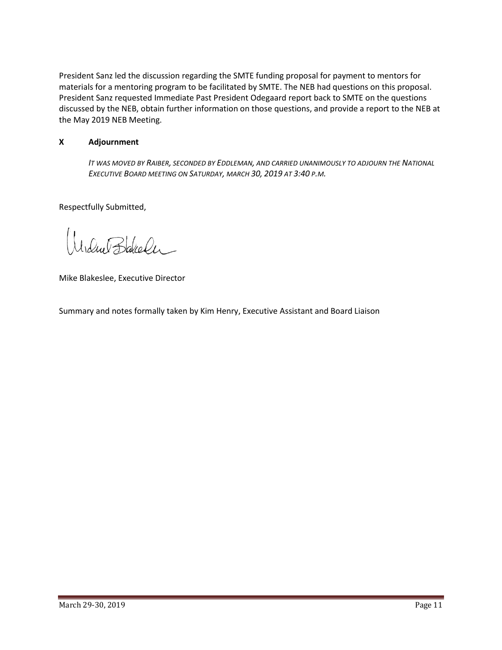President Sanz led the discussion regarding the SMTE funding proposal for payment to mentors for materials for a mentoring program to be facilitated by SMTE. The NEB had questions on this proposal. President Sanz requested Immediate Past President Odegaard report back to SMTE on the questions discussed by the NEB, obtain further information on those questions, and provide a report to the NEB at the May 2019 NEB Meeting.

### **X Adjournment**

*IT WAS MOVED BY RAIBER, SECONDED BY EDDLEMAN, AND CARRIED UNANIMOUSLY TO ADJOURN THE NATIONAL EXECUTIVE BOARD MEETING ON SATURDAY, MARCH 30, 2019 AT 3:40 P.M.*

Respectfully Submitted,

Irdue Bakeler

Mike Blakeslee, Executive Director

Summary and notes formally taken by Kim Henry, Executive Assistant and Board Liaison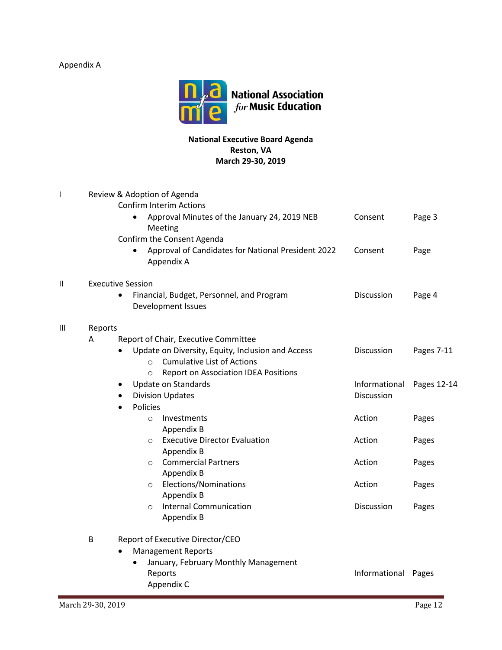Appendix A



# **National Executive Board Agenda Reston, VA March 29-30, 2019**

| L | Review & Adoption of Agenda<br><b>Confirm Interim Actions</b> |                                                                                                             |                     |             |  |  |  |
|---|---------------------------------------------------------------|-------------------------------------------------------------------------------------------------------------|---------------------|-------------|--|--|--|
|   |                                                               | Approval Minutes of the January 24, 2019 NEB<br>$\bullet$<br>Meeting                                        | Consent             | Page 3      |  |  |  |
|   |                                                               | Confirm the Consent Agenda<br>Approval of Candidates for National President 2022<br>$\bullet$<br>Appendix A | Consent             | Page        |  |  |  |
| Π | <b>Executive Session</b>                                      |                                                                                                             |                     |             |  |  |  |
|   |                                                               | Financial, Budget, Personnel, and Program<br>$\bullet$<br>Development Issues                                | Discussion          | Page 4      |  |  |  |
| Ш | Reports                                                       |                                                                                                             |                     |             |  |  |  |
|   | A                                                             | Report of Chair, Executive Committee                                                                        |                     |             |  |  |  |
|   |                                                               | Update on Diversity, Equity, Inclusion and Access<br>$\bullet$                                              | Discussion          | Pages 7-11  |  |  |  |
|   |                                                               | <b>Cumulative List of Actions</b><br>$\Omega$                                                               |                     |             |  |  |  |
|   |                                                               | <b>Report on Association IDEA Positions</b><br>$\circ$                                                      |                     |             |  |  |  |
|   |                                                               | <b>Update on Standards</b><br>$\bullet$                                                                     | Informational       | Pages 12-14 |  |  |  |
|   |                                                               | <b>Division Updates</b><br>$\bullet$<br>Policies                                                            | Discussion          |             |  |  |  |
|   |                                                               | $\bullet$<br>Investments<br>$\circ$                                                                         | Action              | Pages       |  |  |  |
|   |                                                               | Appendix B                                                                                                  |                     |             |  |  |  |
|   |                                                               | <b>Executive Director Evaluation</b><br>$\circ$                                                             | Action              | Pages       |  |  |  |
|   |                                                               | Appendix B                                                                                                  |                     |             |  |  |  |
|   |                                                               | <b>Commercial Partners</b><br>$\circ$                                                                       | Action              | Pages       |  |  |  |
|   |                                                               | Appendix B                                                                                                  |                     |             |  |  |  |
|   |                                                               | Elections/Nominations<br>$\circ$                                                                            | Action              | Pages       |  |  |  |
|   |                                                               | Appendix B                                                                                                  |                     |             |  |  |  |
|   |                                                               | <b>Internal Communication</b><br>$\circ$<br>Appendix B                                                      | Discussion          | Pages       |  |  |  |
|   | B                                                             | Report of Executive Director/CEO                                                                            |                     |             |  |  |  |
|   |                                                               | <b>Management Reports</b>                                                                                   |                     |             |  |  |  |
|   |                                                               | January, February Monthly Management                                                                        |                     |             |  |  |  |
|   |                                                               | Reports                                                                                                     | Informational Pages |             |  |  |  |
|   |                                                               | Appendix C                                                                                                  |                     |             |  |  |  |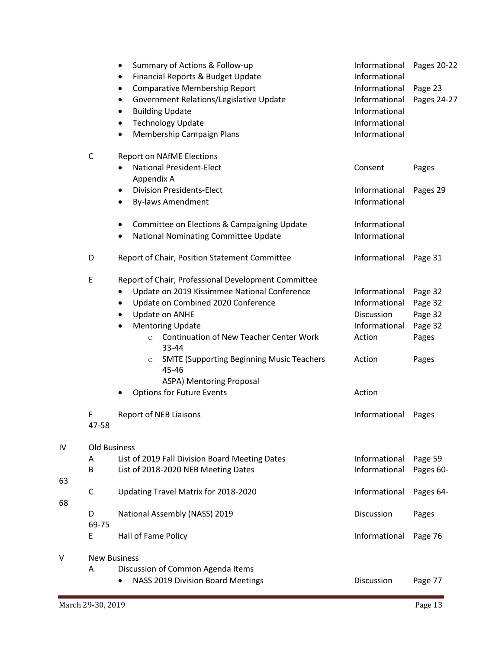|    |                     | Summary of Actions & Follow-up<br>٠                                  | Informational | Pages 20-22 |  |  |
|----|---------------------|----------------------------------------------------------------------|---------------|-------------|--|--|
|    |                     | Financial Reports & Budget Update<br>٠                               | Informational |             |  |  |
|    |                     | Comparative Membership Report<br>$\bullet$                           | Informational | Page 23     |  |  |
|    |                     | Government Relations/Legislative Update<br>$\bullet$                 | Informational | Pages 24-27 |  |  |
|    |                     | <b>Building Update</b><br>٠                                          | Informational |             |  |  |
|    |                     | <b>Technology Update</b><br>$\bullet$                                | Informational |             |  |  |
|    |                     | Membership Campaign Plans<br>٠                                       | Informational |             |  |  |
|    | $\mathsf{C}$        | <b>Report on NAfME Elections</b>                                     |               |             |  |  |
|    |                     | <b>National President-Elect</b><br>$\bullet$                         | Consent       | Pages       |  |  |
|    |                     | Appendix A                                                           |               |             |  |  |
|    |                     | <b>Division Presidents-Elect</b><br>$\bullet$                        | Informational | Pages 29    |  |  |
|    |                     | <b>By-laws Amendment</b><br>$\bullet$                                | Informational |             |  |  |
|    |                     | Committee on Elections & Campaigning Update<br>٠                     | Informational |             |  |  |
|    |                     | National Nominating Committee Update<br>٠                            | Informational |             |  |  |
|    | D                   | Report of Chair, Position Statement Committee                        | Informational | Page 31     |  |  |
|    | E                   | Report of Chair, Professional Development Committee                  |               |             |  |  |
|    |                     | Update on 2019 Kissimmee National Conference                         | Informational | Page 32     |  |  |
|    |                     | Update on Combined 2020 Conference<br>$\bullet$                      | Informational | Page 32     |  |  |
|    |                     | Update on ANHE<br>$\bullet$                                          | Discussion    | Page 32     |  |  |
|    |                     | <b>Mentoring Update</b>                                              | Informational | Page 32     |  |  |
|    |                     | <b>Continuation of New Teacher Center Work</b><br>$\circ$<br>33-44   | Action        | Pages       |  |  |
|    |                     | <b>SMTE (Supporting Beginning Music Teachers</b><br>$\circ$<br>45-46 | Action        | Pages       |  |  |
|    |                     | ASPA) Mentoring Proposal                                             |               |             |  |  |
|    |                     | <b>Options for Future Events</b><br>٠                                | Action        |             |  |  |
|    | F                   | <b>Report of NEB Liaisons</b>                                        | Informational | Pages       |  |  |
|    | 47-58               |                                                                      |               |             |  |  |
| IV | Old Business        |                                                                      |               |             |  |  |
|    | Α                   | List of 2019 Fall Division Board Meeting Dates                       | Informational | Page 59     |  |  |
| 63 | B                   | List of 2018-2020 NEB Meeting Dates                                  | Informational | Pages 60-   |  |  |
|    | $\mathsf C$         | Updating Travel Matrix for 2018-2020                                 | Informational | Pages 64-   |  |  |
| 68 |                     |                                                                      |               |             |  |  |
|    | D                   | National Assembly (NASS) 2019                                        | Discussion    | Pages       |  |  |
|    | 69-75               |                                                                      |               |             |  |  |
|    | E                   | Hall of Fame Policy                                                  | Informational | Page 76     |  |  |
| V  | <b>New Business</b> |                                                                      |               |             |  |  |
|    | Α                   | Discussion of Common Agenda Items                                    |               |             |  |  |
|    |                     | NASS 2019 Division Board Meetings<br>٠                               | Discussion    | Page 77     |  |  |
|    |                     |                                                                      |               |             |  |  |

 $\mathsf{I}\mathsf{V}$ 

63

68